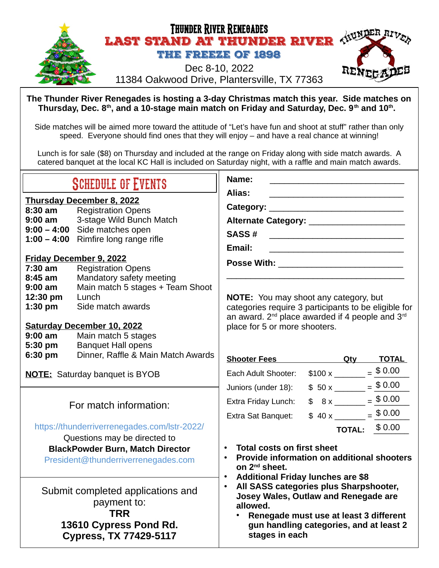

**The Thunder River Renegades is hosting a 3-day Christmas match this year. Side matches on Thursday, Dec. 8th, and a 10-stage main match on Friday and Saturday, Dec. 9th and 10th .** 

Side matches will be aimed more toward the attitude of "Let's have fun and shoot at stuff" rather than only speed. Everyone should find ones that they will enjoy – and have a real chance at winning!

Lunch is for sale (\$8) on Thursday and included at the range on Friday along with side match awards. A catered banquet at the local KC Hall is included on Saturday night, with a raffle and main match awards.

| <b>SCHEDULE OF EVENTS</b>                                                                                                                                      |                                                                                                                                                                                                                                                                                                | Name:                                                                                                                                                                                             |  |                                                                                                 |  |
|----------------------------------------------------------------------------------------------------------------------------------------------------------------|------------------------------------------------------------------------------------------------------------------------------------------------------------------------------------------------------------------------------------------------------------------------------------------------|---------------------------------------------------------------------------------------------------------------------------------------------------------------------------------------------------|--|-------------------------------------------------------------------------------------------------|--|
| 8:30 am<br>9:00 am<br>7:30 am<br>8:45 am<br>$9:00$ am                                                                                                          | <b>Thursday December 8, 2022</b><br><b>Registration Opens</b><br>3-stage Wild Bunch Match<br>$9:00 - 4:00$ Side matches open<br>$1:00 - 4:00$ Rimfire long range rifle<br>Friday December 9, 2022<br><b>Registration Opens</b><br>Mandatory safety meeting<br>Main match 5 stages + Team Shoot | Alias:<br>Alternate Category: ________________________<br><b>SASS#</b><br>Email:<br><b>Posse With: Example 2018</b><br><b>NOTE:</b> You may shoot any category, but                               |  |                                                                                                 |  |
| 12:30 pm<br>$1:30$ pm<br>$9:00$ am<br>5:30 pm                                                                                                                  | Lunch<br>Side match awards<br><b>Saturday December 10, 2022</b><br>Main match 5 stages<br><b>Banquet Hall opens</b><br>Dinner, Raffle & Main Match Awards                                                                                                                                      | categories require 3 participants to be eligible for<br>an award. 2 <sup>nd</sup> place awarded if 4 people and 3 <sup>rd</sup><br>place for 5 or more shooters.                                  |  |                                                                                                 |  |
| 6:30 pm<br><b>NOTE:</b> Saturday banquet is BYOB                                                                                                               |                                                                                                                                                                                                                                                                                                | Shooter Fees Oty TOTAL<br>Each Adult Shooter:<br>Juniors (under 18):                                                                                                                              |  | $$100 \times \_ = \ 6.00$<br>$$50 x \underline{\hspace{1cm}} = $0.00$                           |  |
| For match information:                                                                                                                                         |                                                                                                                                                                                                                                                                                                | Extra Friday Lunch:<br>Extra Sat Banquet:                                                                                                                                                         |  | \$ $8 \times \_ = \_ \frac{\$ 0.00}{\phantom{000}}$<br>$$40 x \underline{\hspace{1cm}} = $0.00$ |  |
| https://thunderriverrenegades.com/lstr-2022/<br>Questions may be directed to<br><b>BlackPowder Burn, Match Director</b><br>President@thunderriverrenegades.com |                                                                                                                                                                                                                                                                                                | <b>TOTAL: \$0.00</b><br><b>Total costs on first sheet</b><br>Provide information on additional shooters<br>on 2 <sup>nd</sup> sheet.<br><b>Additional Friday lunches are \$8</b>                  |  |                                                                                                 |  |
| Submit completed applications and<br>payment to:<br><b>TRR</b><br>13610 Cypress Pond Rd.<br><b>Cypress, TX 77429-5117</b>                                      |                                                                                                                                                                                                                                                                                                | All SASS categories plus Sharpshooter,<br>Josey Wales, Outlaw and Renegade are<br>allowed.<br>Renegade must use at least 3 different<br>gun handling categories, and at least 2<br>stages in each |  |                                                                                                 |  |